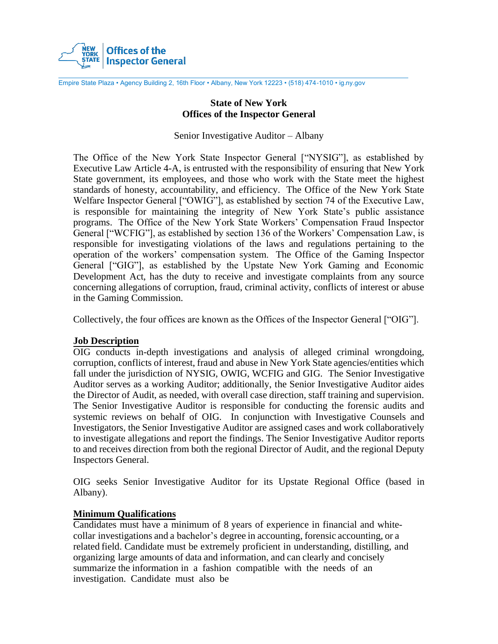

Empire State Plaza • Agency Building 2, 16th Floor • Albany, New York 12223 • (518) 474-1010 • ig.ny.gov

## **State of New York Offices of the Inspector General**

Senior Investigative Auditor – Albany

The Office of the New York State Inspector General ["NYSIG"], as established by Executive Law Article 4-A, is entrusted with the responsibility of ensuring that New York State government, its employees, and those who work with the State meet the highest standards of honesty, accountability, and efficiency. The Office of the New York State Welfare Inspector General ["OWIG"], as established by section 74 of the Executive Law, is responsible for maintaining the integrity of New York State's public assistance programs. The Office of the New York State Workers' Compensation Fraud Inspector General ["WCFIG"], as established by section 136 of the Workers' Compensation Law, is responsible for investigating violations of the laws and regulations pertaining to the operation of the workers' compensation system. The Office of the Gaming Inspector General ["GIG"], as established by the Upstate New York Gaming and Economic Development Act, has the duty to receive and investigate complaints from any source concerning allegations of corruption, fraud, criminal activity, conflicts of interest or abuse in the Gaming Commission.

Collectively, the four offices are known as the Offices of the Inspector General ["OIG"].

#### **Job Description**

OIG conducts in-depth investigations and analysis of alleged criminal wrongdoing, corruption, conflicts of interest, fraud and abuse in New York State agencies/entities which fall under the jurisdiction of NYSIG, OWIG, WCFIG and GIG. The Senior Investigative Auditor serves as a working Auditor; additionally, the Senior Investigative Auditor aides the Director of Audit, as needed, with overall case direction, staff training and supervision. The Senior Investigative Auditor is responsible for conducting the forensic audits and systemic reviews on behalf of OIG. In conjunction with Investigative Counsels and Investigators, the Senior Investigative Auditor are assigned cases and work collaboratively to investigate allegations and report the findings. The Senior Investigative Auditor reports to and receives direction from both the regional Director of Audit, and the regional Deputy Inspectors General.

OIG seeks Senior Investigative Auditor for its Upstate Regional Office (based in Albany).

#### **Minimum Qualifications**

Candidates must have a minimum of 8 years of experience in financial and whitecollar investigations and a bachelor's degree in accounting, forensic accounting, or a related field. Candidate must be extremely proficient in understanding, distilling, and organizing large amounts of data and information, and can clearly and concisely summarize the information in a fashion compatible with the needs of an investigation. Candidate must also be